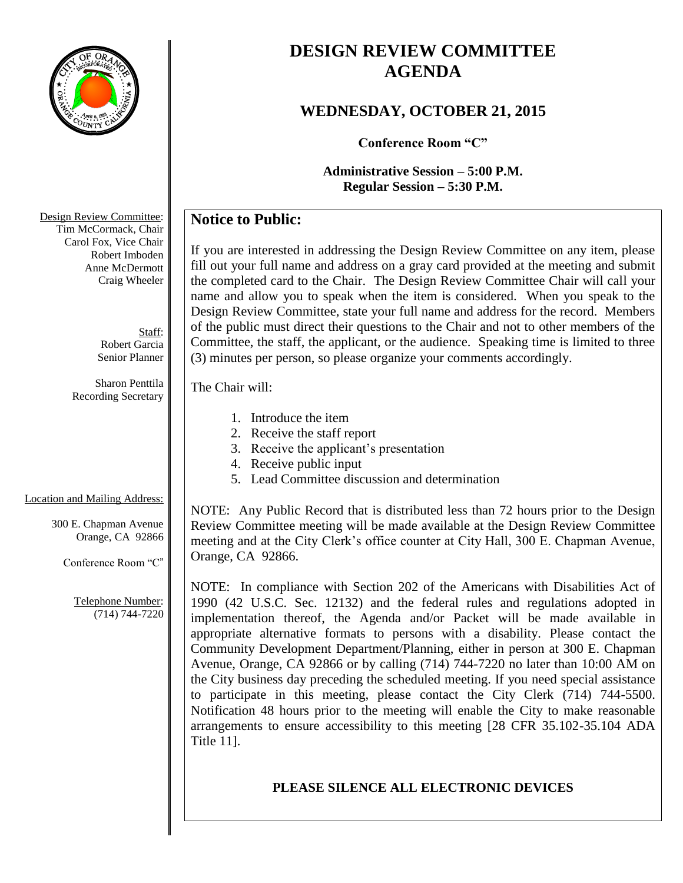

# **DESIGN REVIEW COMMITTEE AGENDA**

# **WEDNESDAY, OCTOBER 21, 2015**

**Conference Room "C"**

**Administrative Session – 5:00 P.M. Regular Session – 5:30 P.M.**

# **Notice to Public:**

If you are interested in addressing the Design Review Committee on any item, please fill out your full name and address on a gray card provided at the meeting and submit the completed card to the Chair. The Design Review Committee Chair will call your name and allow you to speak when the item is considered. When you speak to the Design Review Committee, state your full name and address for the record. Members of the public must direct their questions to the Chair and not to other members of the Committee, the staff, the applicant, or the audience. Speaking time is limited to three (3) minutes per person, so please organize your comments accordingly.

#### The Chair will:

- 1. Introduce the item
- 2. Receive the staff report
- 3. Receive the applicant's presentation
- 4. Receive public input
- 5. Lead Committee discussion and determination

# Location and Mailing Address:

300 E. Chapman Avenue Orange, CA 92866

Conference Room "C"

Telephone Number: (714) 744-7220

NOTE: Any Public Record that is distributed less than 72 hours prior to the Design Review Committee meeting will be made available at the Design Review Committee meeting and at the City Clerk's office counter at City Hall, 300 E. Chapman Avenue, Orange, CA 92866.

NOTE: In compliance with Section 202 of the Americans with Disabilities Act of 1990 (42 U.S.C. Sec. 12132) and the federal rules and regulations adopted in implementation thereof, the Agenda and/or Packet will be made available in appropriate alternative formats to persons with a disability. Please contact the Community Development Department/Planning, either in person at 300 E. Chapman Avenue, Orange, CA 92866 or by calling (714) 744-7220 no later than 10:00 AM on the City business day preceding the scheduled meeting. If you need special assistance to participate in this meeting, please contact the City Clerk (714) 744-5500. Notification 48 hours prior to the meeting will enable the City to make reasonable arrangements to ensure accessibility to this meeting [28 CFR 35.102-35.104 ADA Title 11].

# **PLEASE SILENCE ALL ELECTRONIC DEVICES**

Design Review Committee: Tim McCormack, Chair Carol Fox, Vice Chair Robert Imboden Anne McDermott Craig Wheeler

> Staff: Robert Garcia Senior Planner

Sharon Penttila Recording Secretary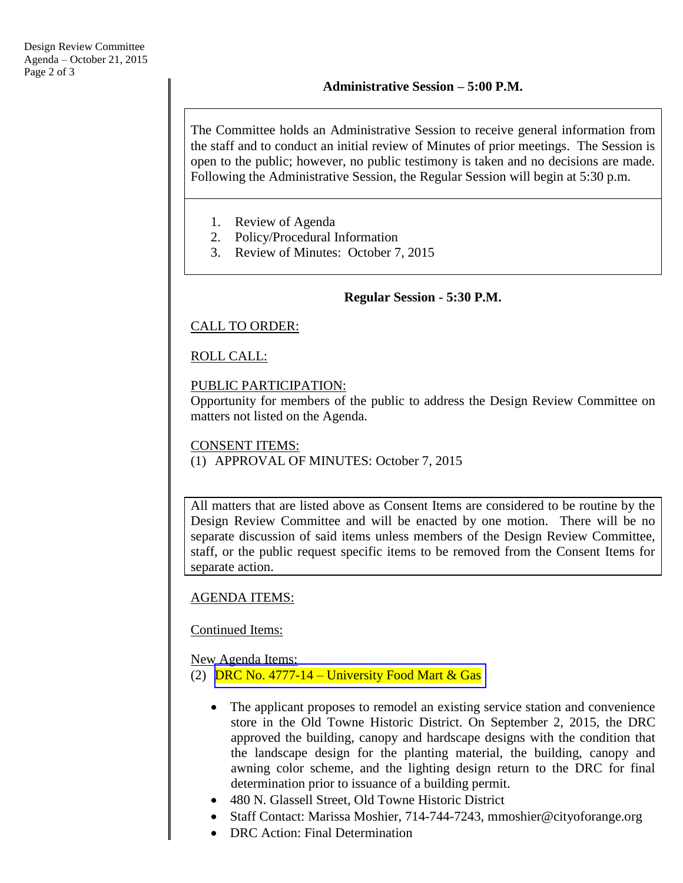The Committee holds an Administrative Session to receive general information from the staff and to conduct an initial review of Minutes of prior meetings. The Session is open to the public; however, no public testimony is taken and no decisions are made. Following the Administrative Session, the Regular Session will begin at 5:30 p.m.

- 1. Review of Agenda
- 2. Policy/Procedural Information
- 3. Review of Minutes: October 7, 2015

### **Regular Session - 5:30 P.M.**

### CALL TO ORDER:

### ROLL CALL:

### PUBLIC PARTICIPATION:

Opportunity for members of the public to address the Design Review Committee on matters not listed on the Agenda.

### CONSENT ITEMS: (1) APPROVAL OF MINUTES: October 7, 2015

All matters that are listed above as Consent Items are considered to be routine by the Design Review Committee and will be enacted by one motion. There will be no separate discussion of said items unless members of the Design Review Committee, staff, or the public request specific items to be removed from the Consent Items for separate action.

### AGENDA ITEMS:

### Continued Items:

New Agenda Items: (2) DRC No.  $4777-14$  – [University Food Mart & Gas](http://www.cityoforange.org/civicax/filebank/blobdload.aspx?BlobID=16738)

- The applicant proposes to remodel an existing service station and convenience store in the Old Towne Historic District. On September 2, 2015, the DRC approved the building, canopy and hardscape designs with the condition that the landscape design for the planting material, the building, canopy and awning color scheme, and the lighting design return to the DRC for final determination prior to issuance of a building permit.
- 480 N. Glassell Street, Old Towne Historic District
- Staff Contact: Marissa Moshier, 714-744-7243, mmoshier@cityoforange.org
- DRC Action: Final Determination